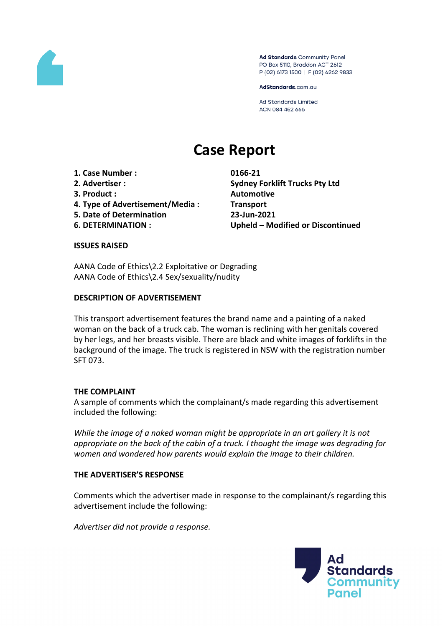

Ad Standards Community Panel PO Box 5110, Braddon ACT 2612 P (02) 6173 1500 | F (02) 6262 9833

AdStandards.com.au

Ad Standards Limited ACN 084 452 666

# **Case Report**

- **1. Case Number : 0166-21**
- 
- **3. Product : Automotive**
- **4. Type of Advertisement/Media : Transport**
- **5. Date of Determination 23-Jun-2021**
- 

**2. Advertiser : Sydney Forklift Trucks Pty Ltd 6. DETERMINATION : Upheld – Modified or Discontinued**

## **ISSUES RAISED**

AANA Code of Ethics\2.2 Exploitative or Degrading AANA Code of Ethics\2.4 Sex/sexuality/nudity

## **DESCRIPTION OF ADVERTISEMENT**

This transport advertisement features the brand name and a painting of a naked woman on the back of a truck cab. The woman is reclining with her genitals covered by her legs, and her breasts visible. There are black and white images of forklifts in the background of the image. The truck is registered in NSW with the registration number SFT 073.

# **THE COMPLAINT**

A sample of comments which the complainant/s made regarding this advertisement included the following:

*While the image of a naked woman might be appropriate in an art gallery it is not appropriate on the back of the cabin of a truck. I thought the image was degrading for women and wondered how parents would explain the image to their children.*

## **THE ADVERTISER'S RESPONSE**

Comments which the advertiser made in response to the complainant/s regarding this advertisement include the following:

*Advertiser did not provide a response.*

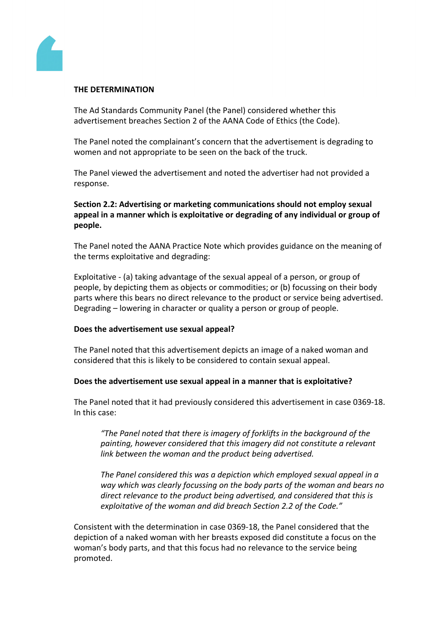

#### **THE DETERMINATION**

The Ad Standards Community Panel (the Panel) considered whether this advertisement breaches Section 2 of the AANA Code of Ethics (the Code).

The Panel noted the complainant's concern that the advertisement is degrading to women and not appropriate to be seen on the back of the truck.

The Panel viewed the advertisement and noted the advertiser had not provided a response.

## **Section 2.2: Advertising or marketing communications should not employ sexual appeal in a manner which is exploitative or degrading of any individual or group of people.**

The Panel noted the AANA Practice Note which provides guidance on the meaning of the terms exploitative and degrading:

Exploitative - (a) taking advantage of the sexual appeal of a person, or group of people, by depicting them as objects or commodities; or (b) focussing on their body parts where this bears no direct relevance to the product or service being advertised. Degrading – lowering in character or quality a person or group of people.

## **Does the advertisement use sexual appeal?**

The Panel noted that this advertisement depicts an image of a naked woman and considered that this is likely to be considered to contain sexual appeal.

## **Does the advertisement use sexual appeal in a manner that is exploitative?**

The Panel noted that it had previously considered this advertisement in case 0369-18. In this case:

*"The Panel noted that there is imagery of forklifts in the background of the painting, however considered that this imagery did not constitute a relevant link between the woman and the product being advertised.*

*The Panel considered this was a depiction which employed sexual appeal in a way which was clearly focussing on the body parts of the woman and bears no direct relevance to the product being advertised, and considered that this is exploitative of the woman and did breach Section 2.2 of the Code."*

Consistent with the determination in case 0369-18, the Panel considered that the depiction of a naked woman with her breasts exposed did constitute a focus on the woman's body parts, and that this focus had no relevance to the service being promoted.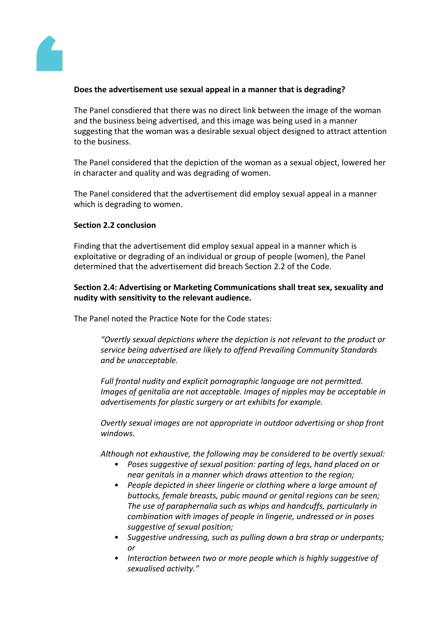

## **Does the advertisement use sexual appeal in a manner that is degrading?**

The Panel consdiered that there was no direct link between the image of the woman and the business being advertised, and this image was being used in a manner suggesting that the woman was a desirable sexual object designed to attract attention to the business.

The Panel considered that the depiction of the woman as a sexual object, lowered her in character and quality and was degrading of women.

The Panel considered that the advertisement did employ sexual appeal in a manner which is degrading to women.

## **Section 2.2 conclusion**

Finding that the advertisement did employ sexual appeal in a manner which is exploitative or degrading of an individual or group of people (women), the Panel determined that the advertisement did breach Section 2.2 of the Code.

**Section 2.4: Advertising or Marketing Communications shall treat sex, sexuality and nudity with sensitivity to the relevant audience.**

The Panel noted the Practice Note for the Code states:

*"Overtly sexual depictions where the depiction is not relevant to the product or service being advertised are likely to offend Prevailing Community Standards and be unacceptable.*

*Full frontal nudity and explicit pornographic language are not permitted. Images of genitalia are not acceptable. Images of nipples may be acceptable in advertisements for plastic surgery or art exhibits for example.*

*Overtly sexual images are not appropriate in outdoor advertising or shop front windows.*

*Although not exhaustive, the following may be considered to be overtly sexual:*

- *• Poses suggestive of sexual position: parting of legs, hand placed on or near genitals in a manner which draws attention to the region;*
- *• People depicted in sheer lingerie or clothing where a large amount of buttocks, female breasts, pubic mound or genital regions can be seen; The use of paraphernalia such as whips and handcuffs, particularly in combination with images of people in lingerie, undressed or in poses suggestive of sexual position;*
- *• Suggestive undressing, such as pulling down a bra strap or underpants; or*
- *• Interaction between two or more people which is highly suggestive of sexualised activity."*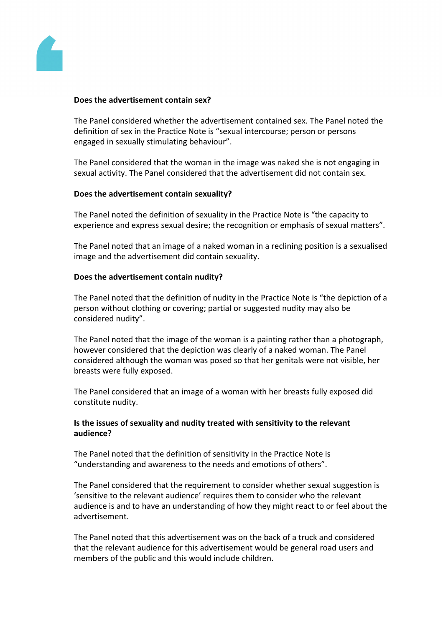

#### **Does the advertisement contain sex?**

The Panel considered whether the advertisement contained sex. The Panel noted the definition of sex in the Practice Note is "sexual intercourse; person or persons engaged in sexually stimulating behaviour".

The Panel considered that the woman in the image was naked she is not engaging in sexual activity. The Panel considered that the advertisement did not contain sex.

#### **Does the advertisement contain sexuality?**

The Panel noted the definition of sexuality in the Practice Note is "the capacity to experience and express sexual desire; the recognition or emphasis of sexual matters".

The Panel noted that an image of a naked woman in a reclining position is a sexualised image and the advertisement did contain sexuality.

#### **Does the advertisement contain nudity?**

The Panel noted that the definition of nudity in the Practice Note is "the depiction of a person without clothing or covering; partial or suggested nudity may also be considered nudity".

The Panel noted that the image of the woman is a painting rather than a photograph, however considered that the depiction was clearly of a naked woman. The Panel considered although the woman was posed so that her genitals were not visible, her breasts were fully exposed.

The Panel considered that an image of a woman with her breasts fully exposed did constitute nudity.

## **Is the issues of sexuality and nudity treated with sensitivity to the relevant audience?**

The Panel noted that the definition of sensitivity in the Practice Note is "understanding and awareness to the needs and emotions of others".

The Panel considered that the requirement to consider whether sexual suggestion is 'sensitive to the relevant audience' requires them to consider who the relevant audience is and to have an understanding of how they might react to or feel about the advertisement.

The Panel noted that this advertisement was on the back of a truck and considered that the relevant audience for this advertisement would be general road users and members of the public and this would include children.